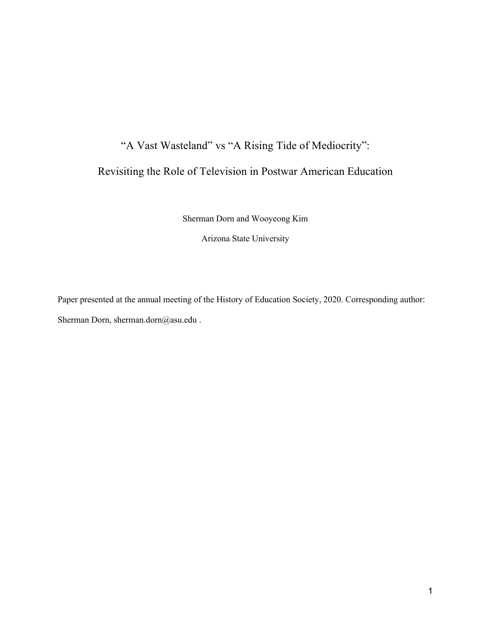# "A Vast Wasteland" vs "A Rising Tide of Mediocrity":

# Revisiting the Role of Television in Postwar American Education

Sherman Dorn and Wooyeong Kim

Arizona State University

Paper presented at the annual meeting of the History of Education Society, 2020. Corresponding author: Sherman Dorn, sherman.dorn@asu.edu .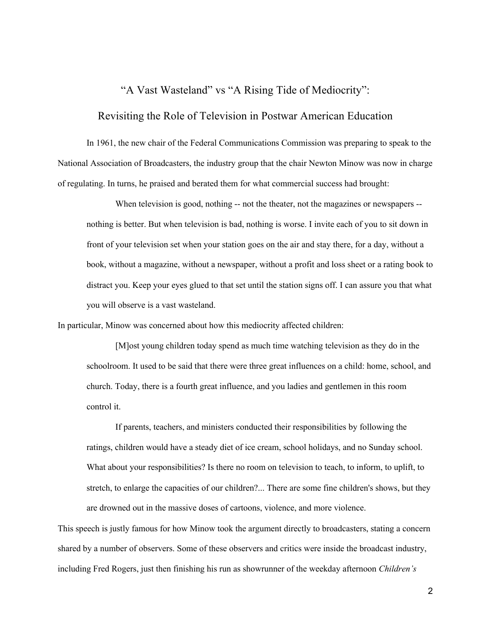# "A Vast Wasteland" vs "A Rising Tide of Mediocrity":

# Revisiting the Role of Television in Postwar American Education

In 1961, the new chair of the Federal Communications Commission was preparing to speak to the National Association of Broadcasters, the industry group that the chair Newton Minow was now in charge of regulating. In turns, he praised and berated them for what commercial success had brought:

When television is good, nothing -- not the theater, not the magazines or newspapers -nothing is better. But when television is bad, nothing is worse. I invite each of you to sit down in front of your television set when your station goes on the air and stay there, for a day, without a book, without a magazine, without a newspaper, without a profit and loss sheet or a rating book to distract you. Keep your eyes glued to that set until the station signs off. I can assure you that what you will observe is a vast wasteland.

In particular, Minow was concerned about how this mediocrity affected children:

[M]ost young children today spend as much time watching television as they do in the schoolroom. It used to be said that there were three great influences on a child: home, school, and church. Today, there is a fourth great influence, and you ladies and gentlemen in this room control it.

If parents, teachers, and ministers conducted their responsibilities by following the ratings, children would have a steady diet of ice cream, school holidays, and no Sunday school. What about your responsibilities? Is there no room on television to teach, to inform, to uplift, to stretch, to enlarge the capacities of our children?... There are some fine children's shows, but they are drowned out in the massive doses of cartoons, violence, and more violence.

This speech is justly famous for how Minow took the argument directly to broadcasters, stating a concern shared by a number of observers. Some of these observers and critics were inside the broadcast industry, including Fred Rogers, just then finishing his run as showrunner of the weekday afternoon *Children's*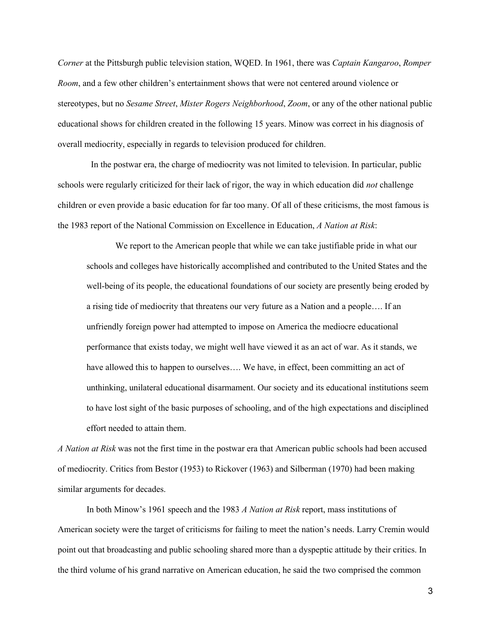*Corner* at the Pittsburgh public television station, WQED. In 1961, there was *Captain Kangaroo*, *Romper Room*, and a few other children's entertainment shows that were not centered around violence or stereotypes, but no *Sesame Street*, *Mister Rogers Neighborhood*, *Zoom*, or any of the other national public educational shows for children created in the following 15 years. Minow was correct in his diagnosis of overall mediocrity, especially in regards to television produced for children.

 In the postwar era, the charge of mediocrity was not limited to television. In particular, public schools were regularly criticized for their lack of rigor, the way in which education did *not* challenge children or even provide a basic education for far too many. Of all of these criticisms, the most famous is the 1983 report of the National Commission on Excellence in Education, *A Nation at Risk*:

We report to the American people that while we can take justifiable pride in what our schools and colleges have historically accomplished and contributed to the United States and the well-being of its people, the educational foundations of our society are presently being eroded by a rising tide of mediocrity that threatens our very future as a Nation and a people…. If an unfriendly foreign power had attempted to impose on America the mediocre educational performance that exists today, we might well have viewed it as an act of war. As it stands, we have allowed this to happen to ourselves.... We have, in effect, been committing an act of unthinking, unilateral educational disarmament. Our society and its educational institutions seem to have lost sight of the basic purposes of schooling, and of the high expectations and disciplined effort needed to attain them.

*A Nation at Risk* was not the first time in the postwar era that American public schools had been accused of mediocrity. Critics from Bestor (1953) to Rickover (1963) and Silberman (1970) had been making similar arguments for decades.

In both Minow's 1961 speech and the 1983 *A Nation at Risk* report, mass institutions of American society were the target of criticisms for failing to meet the nation's needs. Larry Cremin would point out that broadcasting and public schooling shared more than a dyspeptic attitude by their critics. In the third volume of his grand narrative on American education, he said the two comprised the common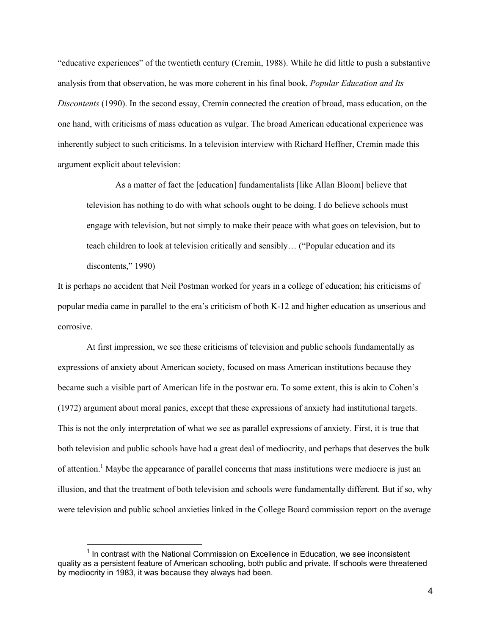"educative experiences" of the twentieth century (Cremin, 1988). While he did little to push a substantive analysis from that observation, he was more coherent in his final book, *Popular Education and Its Discontents* (1990). In the second essay, Cremin connected the creation of broad, mass education, on the one hand, with criticisms of mass education as vulgar. The broad American educational experience was inherently subject to such criticisms. In a television interview with Richard Heffner, Cremin made this argument explicit about television:

As a matter of fact the [education] fundamentalists [like Allan Bloom] believe that television has nothing to do with what schools ought to be doing. I do believe schools must engage with television, but not simply to make their peace with what goes on television, but to teach children to look at television critically and sensibly… ("Popular education and its discontents," 1990)

It is perhaps no accident that Neil Postman worked for years in a college of education; his criticisms of popular media came in parallel to the era's criticism of both K-12 and higher education as unserious and corrosive.

At first impression, we see these criticisms of television and public schools fundamentally as expressions of anxiety about American society, focused on mass American institutions because they became such a visible part of American life in the postwar era. To some extent, this is akin to Cohen's (1972) argument about moral panics, except that these expressions of anxiety had institutional targets. This is not the only interpretation of what we see as parallel expressions of anxiety. First, it is true that both television and public schools have had a great deal of mediocrity, and perhaps that deserves the bulk of attention.<sup>1</sup> Maybe the appearance of parallel concerns that mass institutions were mediocre is just an illusion, and that the treatment of both television and schools were fundamentally different. But if so, why were television and public school anxieties linked in the College Board commission report on the average

 $<sup>1</sup>$  In contrast with the National Commission on Excellence in Education, we see inconsistent</sup> quality as a persistent feature of American schooling, both public and private. If schools were threatened by mediocrity in 1983, it was because they always had been.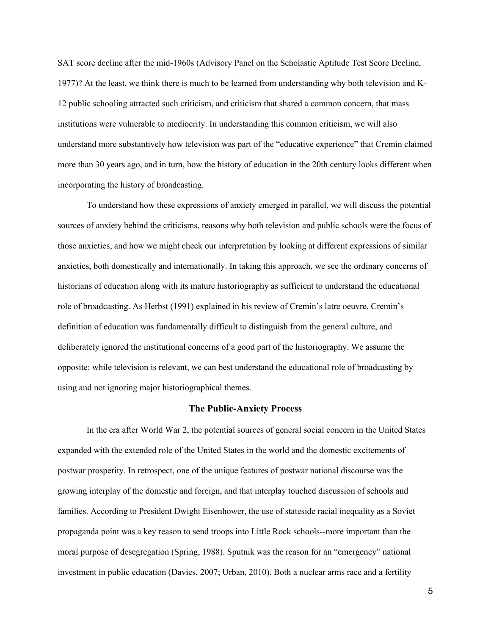SAT score decline after the mid-1960s (Advisory Panel on the Scholastic Aptitude Test Score Decline, 1977)? At the least, we think there is much to be learned from understanding why both television and K-12 public schooling attracted such criticism, and criticism that shared a common concern, that mass institutions were vulnerable to mediocrity. In understanding this common criticism, we will also understand more substantively how television was part of the "educative experience" that Cremin claimed more than 30 years ago, and in turn, how the history of education in the 20th century looks different when incorporating the history of broadcasting.

To understand how these expressions of anxiety emerged in parallel, we will discuss the potential sources of anxiety behind the criticisms, reasons why both television and public schools were the focus of those anxieties, and how we might check our interpretation by looking at different expressions of similar anxieties, both domestically and internationally. In taking this approach, we see the ordinary concerns of historians of education along with its mature historiography as sufficient to understand the educational role of broadcasting. As Herbst (1991) explained in his review of Cremin's latre oeuvre, Cremin's definition of education was fundamentally difficult to distinguish from the general culture, and deliberately ignored the institutional concerns of a good part of the historiography. We assume the opposite: while television is relevant, we can best understand the educational role of broadcasting by using and not ignoring major historiographical themes.

#### **The Public-Anxiety Process**

In the era after World War 2, the potential sources of general social concern in the United States expanded with the extended role of the United States in the world and the domestic excitements of postwar prosperity. In retrospect, one of the unique features of postwar national discourse was the growing interplay of the domestic and foreign, and that interplay touched discussion of schools and families. According to President Dwight Eisenhower, the use of stateside racial inequality as a Soviet propaganda point was a key reason to send troops into Little Rock schools--more important than the moral purpose of desegregation (Spring, 1988). Sputnik was the reason for an "emergency" national investment in public education (Davies, 2007; Urban, 2010). Both a nuclear arms race and a fertility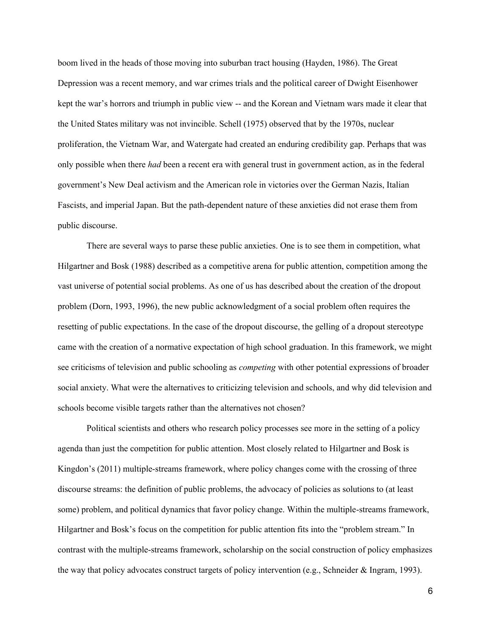boom lived in the heads of those moving into suburban tract housing (Hayden, 1986). The Great Depression was a recent memory, and war crimes trials and the political career of Dwight Eisenhower kept the war's horrors and triumph in public view -- and the Korean and Vietnam wars made it clear that the United States military was not invincible. Schell (1975) observed that by the 1970s, nuclear proliferation, the Vietnam War, and Watergate had created an enduring credibility gap. Perhaps that was only possible when there *had* been a recent era with general trust in government action, as in the federal government's New Deal activism and the American role in victories over the German Nazis, Italian Fascists, and imperial Japan. But the path-dependent nature of these anxieties did not erase them from public discourse.

There are several ways to parse these public anxieties. One is to see them in competition, what Hilgartner and Bosk (1988) described as a competitive arena for public attention, competition among the vast universe of potential social problems. As one of us has described about the creation of the dropout problem (Dorn, 1993, 1996), the new public acknowledgment of a social problem often requires the resetting of public expectations. In the case of the dropout discourse, the gelling of a dropout stereotype came with the creation of a normative expectation of high school graduation. In this framework, we might see criticisms of television and public schooling as *competing* with other potential expressions of broader social anxiety. What were the alternatives to criticizing television and schools, and why did television and schools become visible targets rather than the alternatives not chosen?

Political scientists and others who research policy processes see more in the setting of a policy agenda than just the competition for public attention. Most closely related to Hilgartner and Bosk is Kingdon's (2011) multiple-streams framework, where policy changes come with the crossing of three discourse streams: the definition of public problems, the advocacy of policies as solutions to (at least some) problem, and political dynamics that favor policy change. Within the multiple-streams framework, Hilgartner and Bosk's focus on the competition for public attention fits into the "problem stream." In contrast with the multiple-streams framework, scholarship on the social construction of policy emphasizes the way that policy advocates construct targets of policy intervention (e.g., Schneider & Ingram, 1993).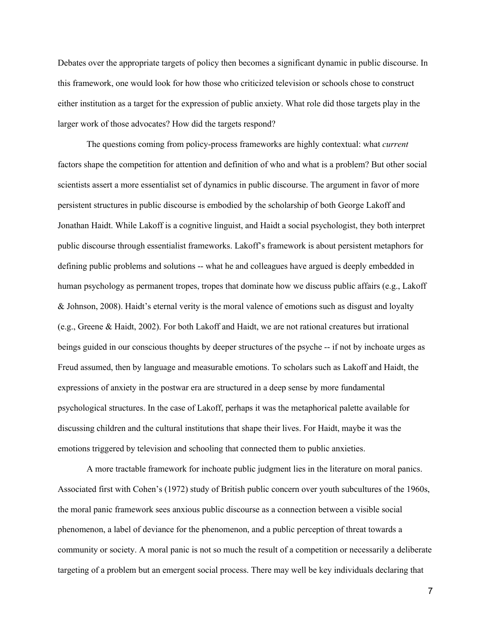Debates over the appropriate targets of policy then becomes a significant dynamic in public discourse. In this framework, one would look for how those who criticized television or schools chose to construct either institution as a target for the expression of public anxiety. What role did those targets play in the larger work of those advocates? How did the targets respond?

The questions coming from policy-process frameworks are highly contextual: what *current* factors shape the competition for attention and definition of who and what is a problem? But other social scientists assert a more essentialist set of dynamics in public discourse. The argument in favor of more persistent structures in public discourse is embodied by the scholarship of both George Lakoff and Jonathan Haidt. While Lakoff is a cognitive linguist, and Haidt a social psychologist, they both interpret public discourse through essentialist frameworks. Lakoff's framework is about persistent metaphors for defining public problems and solutions -- what he and colleagues have argued is deeply embedded in human psychology as permanent tropes, tropes that dominate how we discuss public affairs (e.g., Lakoff & Johnson, 2008). Haidt's eternal verity is the moral valence of emotions such as disgust and loyalty (e.g., Greene & Haidt, 2002). For both Lakoff and Haidt, we are not rational creatures but irrational beings guided in our conscious thoughts by deeper structures of the psyche -- if not by inchoate urges as Freud assumed, then by language and measurable emotions. To scholars such as Lakoff and Haidt, the expressions of anxiety in the postwar era are structured in a deep sense by more fundamental psychological structures. In the case of Lakoff, perhaps it was the metaphorical palette available for discussing children and the cultural institutions that shape their lives. For Haidt, maybe it was the emotions triggered by television and schooling that connected them to public anxieties.

A more tractable framework for inchoate public judgment lies in the literature on moral panics. Associated first with Cohen's (1972) study of British public concern over youth subcultures of the 1960s, the moral panic framework sees anxious public discourse as a connection between a visible social phenomenon, a label of deviance for the phenomenon, and a public perception of threat towards a community or society. A moral panic is not so much the result of a competition or necessarily a deliberate targeting of a problem but an emergent social process. There may well be key individuals declaring that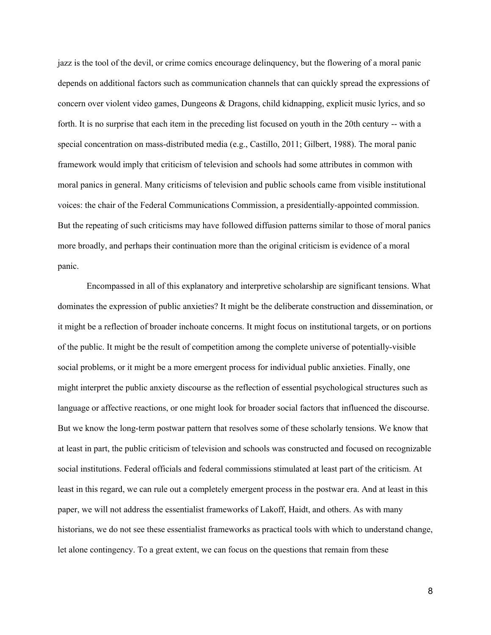jazz is the tool of the devil, or crime comics encourage delinquency, but the flowering of a moral panic depends on additional factors such as communication channels that can quickly spread the expressions of concern over violent video games, Dungeons & Dragons, child kidnapping, explicit music lyrics, and so forth. It is no surprise that each item in the preceding list focused on youth in the 20th century -- with a special concentration on mass-distributed media (e.g., Castillo, 2011; Gilbert, 1988). The moral panic framework would imply that criticism of television and schools had some attributes in common with moral panics in general. Many criticisms of television and public schools came from visible institutional voices: the chair of the Federal Communications Commission, a presidentially-appointed commission. But the repeating of such criticisms may have followed diffusion patterns similar to those of moral panics more broadly, and perhaps their continuation more than the original criticism is evidence of a moral panic.

Encompassed in all of this explanatory and interpretive scholarship are significant tensions. What dominates the expression of public anxieties? It might be the deliberate construction and dissemination, or it might be a reflection of broader inchoate concerns. It might focus on institutional targets, or on portions of the public. It might be the result of competition among the complete universe of potentially-visible social problems, or it might be a more emergent process for individual public anxieties. Finally, one might interpret the public anxiety discourse as the reflection of essential psychological structures such as language or affective reactions, or one might look for broader social factors that influenced the discourse. But we know the long-term postwar pattern that resolves some of these scholarly tensions. We know that at least in part, the public criticism of television and schools was constructed and focused on recognizable social institutions. Federal officials and federal commissions stimulated at least part of the criticism. At least in this regard, we can rule out a completely emergent process in the postwar era. And at least in this paper, we will not address the essentialist frameworks of Lakoff, Haidt, and others. As with many historians, we do not see these essentialist frameworks as practical tools with which to understand change, let alone contingency. To a great extent, we can focus on the questions that remain from these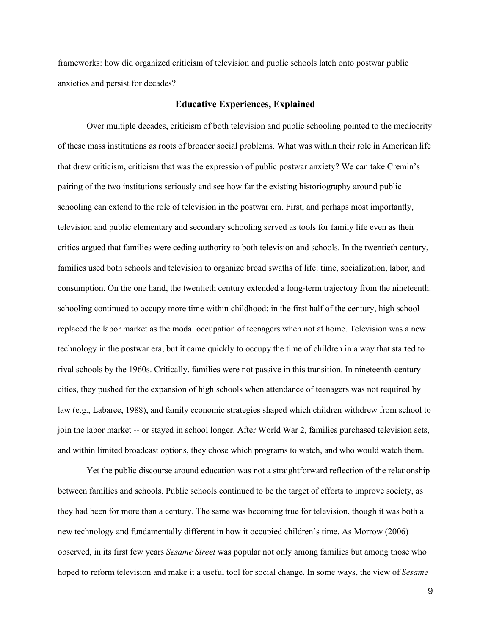frameworks: how did organized criticism of television and public schools latch onto postwar public anxieties and persist for decades?

#### **Educative Experiences, Explained**

Over multiple decades, criticism of both television and public schooling pointed to the mediocrity of these mass institutions as roots of broader social problems. What was within their role in American life that drew criticism, criticism that was the expression of public postwar anxiety? We can take Cremin's pairing of the two institutions seriously and see how far the existing historiography around public schooling can extend to the role of television in the postwar era. First, and perhaps most importantly, television and public elementary and secondary schooling served as tools for family life even as their critics argued that families were ceding authority to both television and schools. In the twentieth century, families used both schools and television to organize broad swaths of life: time, socialization, labor, and consumption. On the one hand, the twentieth century extended a long-term trajectory from the nineteenth: schooling continued to occupy more time within childhood; in the first half of the century, high school replaced the labor market as the modal occupation of teenagers when not at home. Television was a new technology in the postwar era, but it came quickly to occupy the time of children in a way that started to rival schools by the 1960s. Critically, families were not passive in this transition. In nineteenth-century cities, they pushed for the expansion of high schools when attendance of teenagers was not required by law (e.g., Labaree, 1988), and family economic strategies shaped which children withdrew from school to join the labor market -- or stayed in school longer. After World War 2, families purchased television sets, and within limited broadcast options, they chose which programs to watch, and who would watch them.

Yet the public discourse around education was not a straightforward reflection of the relationship between families and schools. Public schools continued to be the target of efforts to improve society, as they had been for more than a century. The same was becoming true for television, though it was both a new technology and fundamentally different in how it occupied children's time. As Morrow (2006) observed, in its first few years *Sesame Street* was popular not only among families but among those who hoped to reform television and make it a useful tool for social change. In some ways, the view of *Sesame*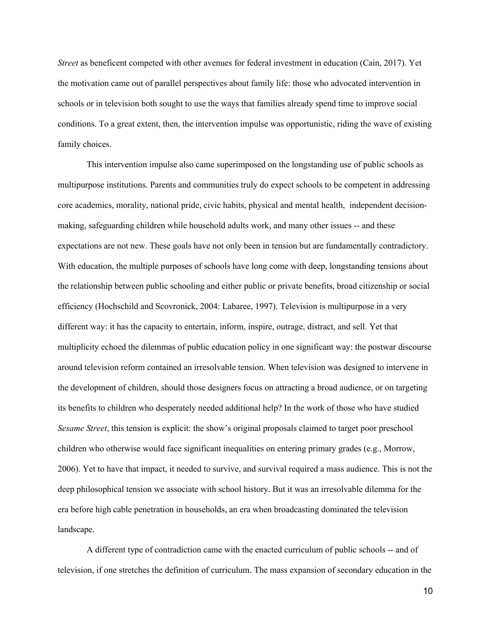*Street* as beneficent competed with other avenues for federal investment in education (Cain, 2017). Yet the motivation came out of parallel perspectives about family life: those who advocated intervention in schools or in television both sought to use the ways that families already spend time to improve social conditions. To a great extent, then, the intervention impulse was opportunistic, riding the wave of existing family choices.

This intervention impulse also came superimposed on the longstanding use of public schools as multipurpose institutions. Parents and communities truly do expect schools to be competent in addressing core academics, morality, national pride, civic habits, physical and mental health, independent decisionmaking, safeguarding children while household adults work, and many other issues -- and these expectations are not new. These goals have not only been in tension but are fundamentally contradictory. With education, the multiple purposes of schools have long come with deep, longstanding tensions about the relationship between public schooling and either public or private benefits, broad citizenship or social efficiency (Hochschild and Scovronick, 2004: Labaree, 1997). Television is multipurpose in a very different way: it has the capacity to entertain, inform, inspire, outrage, distract, and sell. Yet that multiplicity echoed the dilemmas of public education policy in one significant way: the postwar discourse around television reform contained an irresolvable tension. When television was designed to intervene in the development of children, should those designers focus on attracting a broad audience, or on targeting its benefits to children who desperately needed additional help? In the work of those who have studied *Sesame Street*, this tension is explicit: the show's original proposals claimed to target poor preschool children who otherwise would face significant inequalities on entering primary grades (e.g., Morrow, 2006). Yet to have that impact, it needed to survive, and survival required a mass audience. This is not the deep philosophical tension we associate with school history. But it was an irresolvable dilemma for the era before high cable penetration in households, an era when broadcasting dominated the television landscape.

A different type of contradiction came with the enacted curriculum of public schools -- and of television, if one stretches the definition of curriculum. The mass expansion of secondary education in the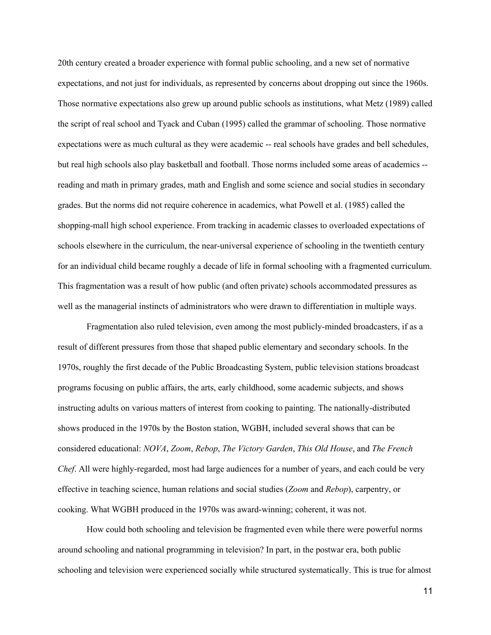20th century created a broader experience with formal public schooling, and a new set of normative expectations, and not just for individuals, as represented by concerns about dropping out since the 1960s. Those normative expectations also grew up around public schools as institutions, what Metz (1989) called the script of real school and Tyack and Cuban (1995) called the grammar of schooling. Those normative expectations were as much cultural as they were academic -- real schools have grades and bell schedules, but real high schools also play basketball and football. Those norms included some areas of academics - reading and math in primary grades, math and English and some science and social studies in secondary grades. But the norms did not require coherence in academics, what Powell et al. (1985) called the shopping-mall high school experience. From tracking in academic classes to overloaded expectations of schools elsewhere in the curriculum, the near-universal experience of schooling in the twentieth century for an individual child became roughly a decade of life in formal schooling with a fragmented curriculum. This fragmentation was a result of how public (and often private) schools accommodated pressures as well as the managerial instincts of administrators who were drawn to differentiation in multiple ways.

Fragmentation also ruled television, even among the most publicly-minded broadcasters, if as a result of different pressures from those that shaped public elementary and secondary schools. In the 1970s, roughly the first decade of the Public Broadcasting System, public television stations broadcast programs focusing on public affairs, the arts, early childhood, some academic subjects, and shows instructing adults on various matters of interest from cooking to painting. The nationally-distributed shows produced in the 1970s by the Boston station, WGBH, included several shows that can be considered educational: *NOVA*, *Zoom*, *Rebop*, *The Victory Garden*, *This Old House*, and *The French Chef*. All were highly-regarded, most had large audiences for a number of years, and each could be very effective in teaching science, human relations and social studies (*Zoom* and *Rebop*), carpentry, or cooking. What WGBH produced in the 1970s was award-winning; coherent, it was not.

How could both schooling and television be fragmented even while there were powerful norms around schooling and national programming in television? In part, in the postwar era, both public schooling and television were experienced socially while structured systematically. This is true for almost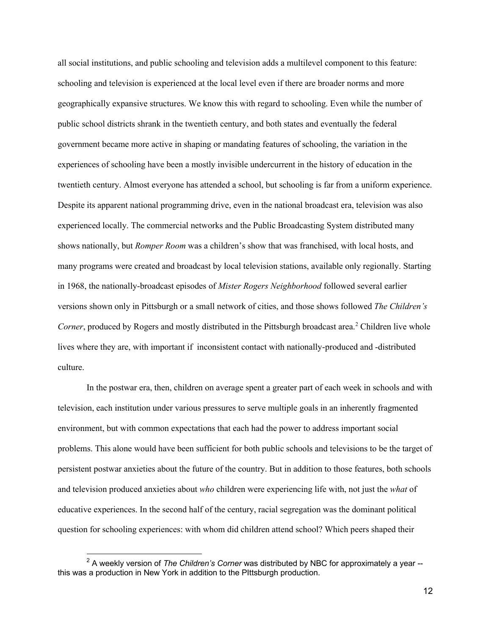all social institutions, and public schooling and television adds a multilevel component to this feature: schooling and television is experienced at the local level even if there are broader norms and more geographically expansive structures. We know this with regard to schooling. Even while the number of public school districts shrank in the twentieth century, and both states and eventually the federal government became more active in shaping or mandating features of schooling, the variation in the experiences of schooling have been a mostly invisible undercurrent in the history of education in the twentieth century. Almost everyone has attended a school, but schooling is far from a uniform experience. Despite its apparent national programming drive, even in the national broadcast era, television was also experienced locally. The commercial networks and the Public Broadcasting System distributed many shows nationally, but *Romper Room* was a children's show that was franchised, with local hosts, and many programs were created and broadcast by local television stations, available only regionally. Starting in 1968, the nationally-broadcast episodes of *Mister Rogers Neighborhood* followed several earlier versions shown only in Pittsburgh or a small network of cities, and those shows followed *The Children's Corner*, produced by Rogers and mostly distributed in the Pittsburgh broadcast area.<sup>2</sup> Children live whole lives where they are, with important if inconsistent contact with nationally-produced and -distributed culture.

In the postwar era, then, children on average spent a greater part of each week in schools and with television, each institution under various pressures to serve multiple goals in an inherently fragmented environment, but with common expectations that each had the power to address important social problems. This alone would have been sufficient for both public schools and televisions to be the target of persistent postwar anxieties about the future of the country. But in addition to those features, both schools and television produced anxieties about *who* children were experiencing life with, not just the *what* of educative experiences. In the second half of the century, racial segregation was the dominant political question for schooling experiences: with whom did children attend school? Which peers shaped their

<sup>2</sup> A weekly version of *The Children's Corner* was distributed by NBC for approximately a year - this was a production in New York in addition to the PIttsburgh production.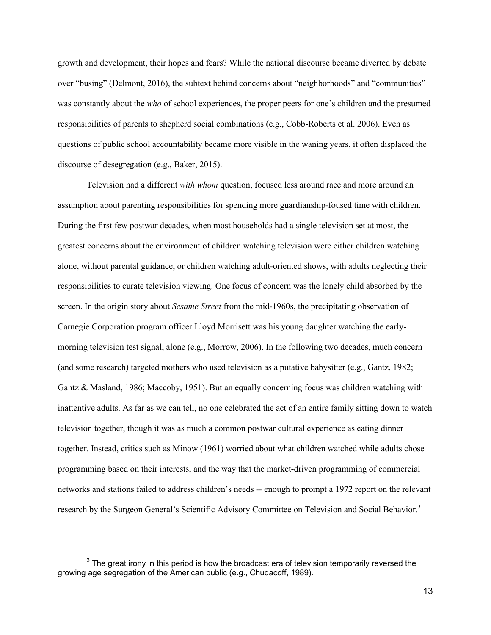growth and development, their hopes and fears? While the national discourse became diverted by debate over "busing" (Delmont, 2016), the subtext behind concerns about "neighborhoods" and "communities" was constantly about the *who* of school experiences, the proper peers for one's children and the presumed responsibilities of parents to shepherd social combinations (e.g., Cobb-Roberts et al. 2006). Even as questions of public school accountability became more visible in the waning years, it often displaced the discourse of desegregation (e.g., Baker, 2015).

Television had a different *with whom* question, focused less around race and more around an assumption about parenting responsibilities for spending more guardianship-foused time with children. During the first few postwar decades, when most households had a single television set at most, the greatest concerns about the environment of children watching television were either children watching alone, without parental guidance, or children watching adult-oriented shows, with adults neglecting their responsibilities to curate television viewing. One focus of concern was the lonely child absorbed by the screen. In the origin story about *Sesame Street* from the mid-1960s, the precipitating observation of Carnegie Corporation program officer Lloyd Morrisett was his young daughter watching the earlymorning television test signal, alone (e.g., Morrow, 2006). In the following two decades, much concern (and some research) targeted mothers who used television as a putative babysitter (e.g., Gantz, 1982; Gantz & Masland, 1986; Maccoby, 1951). But an equally concerning focus was children watching with inattentive adults. As far as we can tell, no one celebrated the act of an entire family sitting down to watch television together, though it was as much a common postwar cultural experience as eating dinner together. Instead, critics such as Minow (1961) worried about what children watched while adults chose programming based on their interests, and the way that the market-driven programming of commercial networks and stations failed to address children's needs -- enough to prompt a 1972 report on the relevant research by the Surgeon General's Scientific Advisory Committee on Television and Social Behavior.<sup>3</sup>

 $3$  The great irony in this period is how the broadcast era of television temporarily reversed the growing age segregation of the American public (e.g., Chudacoff, 1989).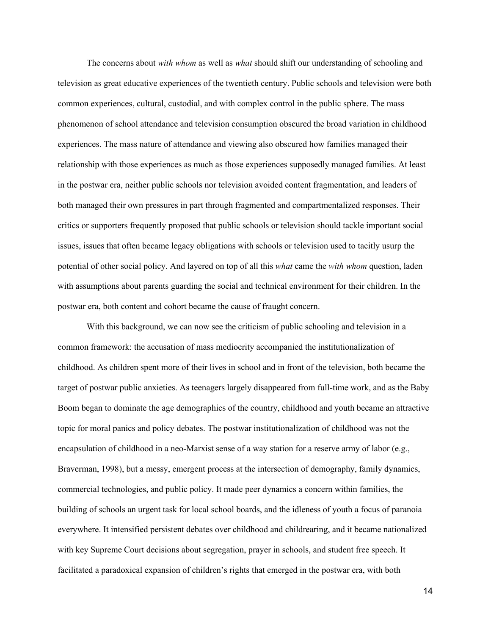The concerns about *with whom* as well as *what* should shift our understanding of schooling and television as great educative experiences of the twentieth century. Public schools and television were both common experiences, cultural, custodial, and with complex control in the public sphere. The mass phenomenon of school attendance and television consumption obscured the broad variation in childhood experiences. The mass nature of attendance and viewing also obscured how families managed their relationship with those experiences as much as those experiences supposedly managed families. At least in the postwar era, neither public schools nor television avoided content fragmentation, and leaders of both managed their own pressures in part through fragmented and compartmentalized responses. Their critics or supporters frequently proposed that public schools or television should tackle important social issues, issues that often became legacy obligations with schools or television used to tacitly usurp the potential of other social policy. And layered on top of all this *what* came the *with whom* question, laden with assumptions about parents guarding the social and technical environment for their children. In the postwar era, both content and cohort became the cause of fraught concern.

With this background, we can now see the criticism of public schooling and television in a common framework: the accusation of mass mediocrity accompanied the institutionalization of childhood. As children spent more of their lives in school and in front of the television, both became the target of postwar public anxieties. As teenagers largely disappeared from full-time work, and as the Baby Boom began to dominate the age demographics of the country, childhood and youth became an attractive topic for moral panics and policy debates. The postwar institutionalization of childhood was not the encapsulation of childhood in a neo-Marxist sense of a way station for a reserve army of labor (e.g., Braverman, 1998), but a messy, emergent process at the intersection of demography, family dynamics, commercial technologies, and public policy. It made peer dynamics a concern within families, the building of schools an urgent task for local school boards, and the idleness of youth a focus of paranoia everywhere. It intensified persistent debates over childhood and childrearing, and it became nationalized with key Supreme Court decisions about segregation, prayer in schools, and student free speech. It facilitated a paradoxical expansion of children's rights that emerged in the postwar era, with both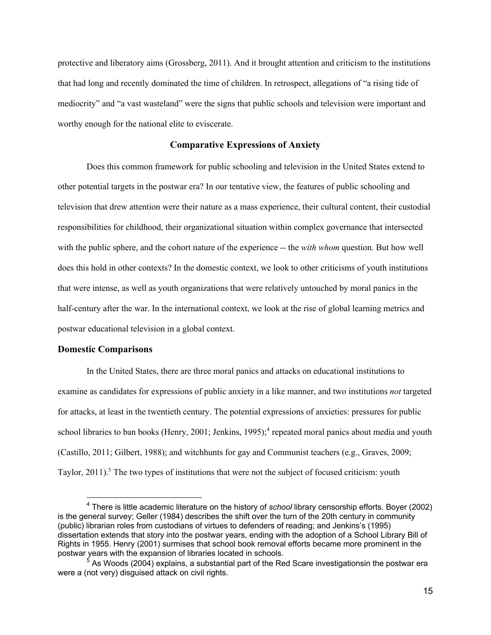protective and liberatory aims (Grossberg, 2011). And it brought attention and criticism to the institutions that had long and recently dominated the time of children. In retrospect, allegations of "a rising tide of mediocrity" and "a vast wasteland" were the signs that public schools and television were important and worthy enough for the national elite to eviscerate.

# **Comparative Expressions of Anxiety**

Does this common framework for public schooling and television in the United States extend to other potential targets in the postwar era? In our tentative view, the features of public schooling and television that drew attention were their nature as a mass experience, their cultural content, their custodial responsibilities for childhood, their organizational situation within complex governance that intersected with the public sphere, and the cohort nature of the experience -- the *with whom* question. But how well does this hold in other contexts? In the domestic context, we look to other criticisms of youth institutions that were intense, as well as youth organizations that were relatively untouched by moral panics in the half-century after the war. In the international context, we look at the rise of global learning metrics and postwar educational television in a global context.

#### **Domestic Comparisons**

In the United States, there are three moral panics and attacks on educational institutions to examine as candidates for expressions of public anxiety in a like manner, and two institutions *not* targeted for attacks, at least in the twentieth century. The potential expressions of anxieties: pressures for public school libraries to ban books (Henry, 2001; Jenkins, 1995);<sup>4</sup> repeated moral panics about media and youth (Castillo, 2011; Gilbert, 1988); and witchhunts for gay and Communist teachers (e.g., Graves, 2009; Taylor,  $2011$ <sup>5</sup>. The two types of institutions that were not the subject of focused criticism: youth

<sup>4</sup> There is little academic literature on the history of *school* library censorship efforts. Boyer (2002) is the general survey; Geller (1984) describes the shift over the turn of the 20th century in community (public) librarian roles from custodians of virtues to defenders of reading; and Jenkins's (1995) dissertation extends that story into the postwar years, ending with the adoption of a School Library Bill of Rights in 1955. Henry (2001) surmises that school book removal efforts became more prominent in the postwar years with the expansion of libraries located in schools.

 $^{\rm 5}$  As Woods (2004) explains, a substantial part of the Red Scare investigationsin the postwar era were a (not very) disguised attack on civil rights.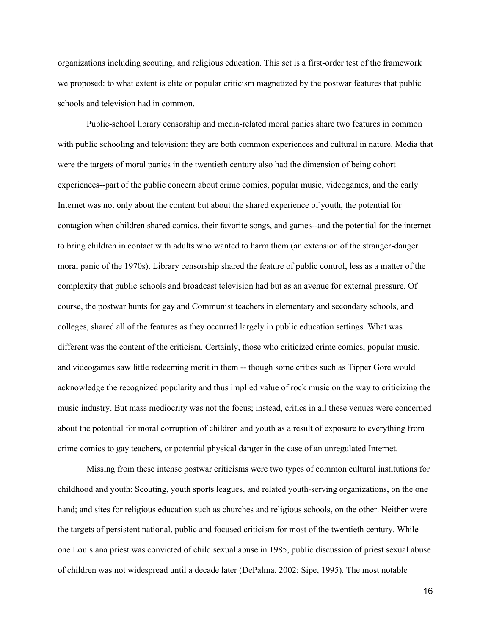organizations including scouting, and religious education. This set is a first-order test of the framework we proposed: to what extent is elite or popular criticism magnetized by the postwar features that public schools and television had in common.

Public-school library censorship and media-related moral panics share two features in common with public schooling and television: they are both common experiences and cultural in nature. Media that were the targets of moral panics in the twentieth century also had the dimension of being cohort experiences--part of the public concern about crime comics, popular music, videogames, and the early Internet was not only about the content but about the shared experience of youth, the potential for contagion when children shared comics, their favorite songs, and games--and the potential for the internet to bring children in contact with adults who wanted to harm them (an extension of the stranger-danger moral panic of the 1970s). Library censorship shared the feature of public control, less as a matter of the complexity that public schools and broadcast television had but as an avenue for external pressure. Of course, the postwar hunts for gay and Communist teachers in elementary and secondary schools, and colleges, shared all of the features as they occurred largely in public education settings. What was different was the content of the criticism. Certainly, those who criticized crime comics, popular music, and videogames saw little redeeming merit in them -- though some critics such as Tipper Gore would acknowledge the recognized popularity and thus implied value of rock music on the way to criticizing the music industry. But mass mediocrity was not the focus; instead, critics in all these venues were concerned about the potential for moral corruption of children and youth as a result of exposure to everything from crime comics to gay teachers, or potential physical danger in the case of an unregulated Internet.

Missing from these intense postwar criticisms were two types of common cultural institutions for childhood and youth: Scouting, youth sports leagues, and related youth-serving organizations, on the one hand; and sites for religious education such as churches and religious schools, on the other. Neither were the targets of persistent national, public and focused criticism for most of the twentieth century. While one Louisiana priest was convicted of child sexual abuse in 1985, public discussion of priest sexual abuse of children was not widespread until a decade later (DePalma, 2002; Sipe, 1995). The most notable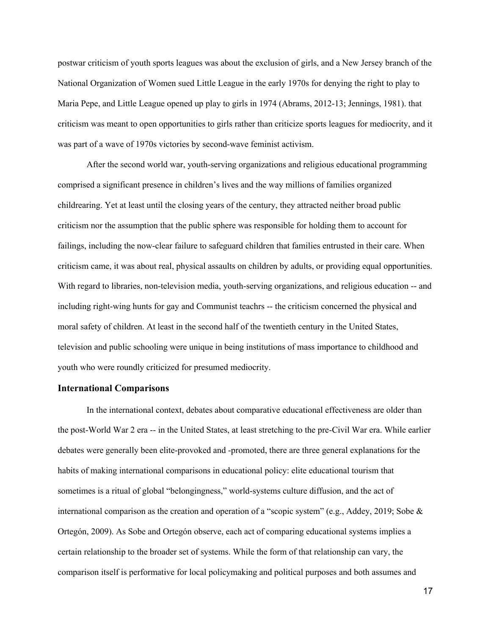postwar criticism of youth sports leagues was about the exclusion of girls, and a New Jersey branch of the National Organization of Women sued Little League in the early 1970s for denying the right to play to Maria Pepe, and Little League opened up play to girls in 1974 (Abrams, 2012-13; Jennings, 1981). that criticism was meant to open opportunities to girls rather than criticize sports leagues for mediocrity, and it was part of a wave of 1970s victories by second-wave feminist activism.

After the second world war, youth-serving organizations and religious educational programming comprised a significant presence in children's lives and the way millions of families organized childrearing. Yet at least until the closing years of the century, they attracted neither broad public criticism nor the assumption that the public sphere was responsible for holding them to account for failings, including the now-clear failure to safeguard children that families entrusted in their care. When criticism came, it was about real, physical assaults on children by adults, or providing equal opportunities. With regard to libraries, non-television media, youth-serving organizations, and religious education -- and including right-wing hunts for gay and Communist teachrs -- the criticism concerned the physical and moral safety of children. At least in the second half of the twentieth century in the United States, television and public schooling were unique in being institutions of mass importance to childhood and youth who were roundly criticized for presumed mediocrity.

## **International Comparisons**

In the international context, debates about comparative educational effectiveness are older than the post-World War 2 era -- in the United States, at least stretching to the pre-Civil War era. While earlier debates were generally been elite-provoked and -promoted, there are three general explanations for the habits of making international comparisons in educational policy: elite educational tourism that sometimes is a ritual of global "belongingness," world-systems culture diffusion, and the act of international comparison as the creation and operation of a "scopic system" (e.g., Addey, 2019; Sobe & Ortegón, 2009). As Sobe and Ortegón observe, each act of comparing educational systems implies a certain relationship to the broader set of systems. While the form of that relationship can vary, the comparison itself is performative for local policymaking and political purposes and both assumes and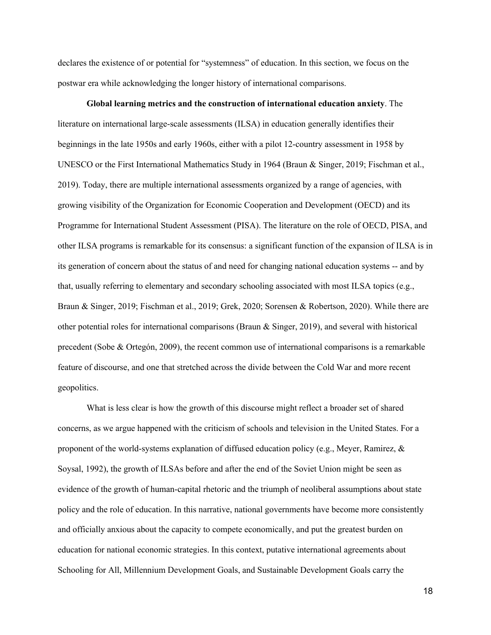declares the existence of or potential for "systemness" of education. In this section, we focus on the postwar era while acknowledging the longer history of international comparisons.

**Global learning metrics and the construction of international education anxiety**. The literature on international large-scale assessments (ILSA) in education generally identifies their beginnings in the late 1950s and early 1960s, either with a pilot 12-country assessment in 1958 by UNESCO or the First International Mathematics Study in 1964 (Braun & Singer, 2019; Fischman et al., 2019). Today, there are multiple international assessments organized by a range of agencies, with growing visibility of the Organization for Economic Cooperation and Development (OECD) and its Programme for International Student Assessment (PISA). The literature on the role of OECD, PISA, and other ILSA programs is remarkable for its consensus: a significant function of the expansion of ILSA is in its generation of concern about the status of and need for changing national education systems -- and by that, usually referring to elementary and secondary schooling associated with most ILSA topics (e.g., Braun & Singer, 2019; Fischman et al., 2019; Grek, 2020; Sorensen & Robertson, 2020). While there are other potential roles for international comparisons (Braun & Singer, 2019), and several with historical precedent (Sobe & Ortegón, 2009), the recent common use of international comparisons is a remarkable feature of discourse, and one that stretched across the divide between the Cold War and more recent geopolitics.

What is less clear is how the growth of this discourse might reflect a broader set of shared concerns, as we argue happened with the criticism of schools and television in the United States. For a proponent of the world-systems explanation of diffused education policy (e.g., Meyer, Ramirez, & Soysal, 1992), the growth of ILSAs before and after the end of the Soviet Union might be seen as evidence of the growth of human-capital rhetoric and the triumph of neoliberal assumptions about state policy and the role of education. In this narrative, national governments have become more consistently and officially anxious about the capacity to compete economically, and put the greatest burden on education for national economic strategies. In this context, putative international agreements about Schooling for All, Millennium Development Goals, and Sustainable Development Goals carry the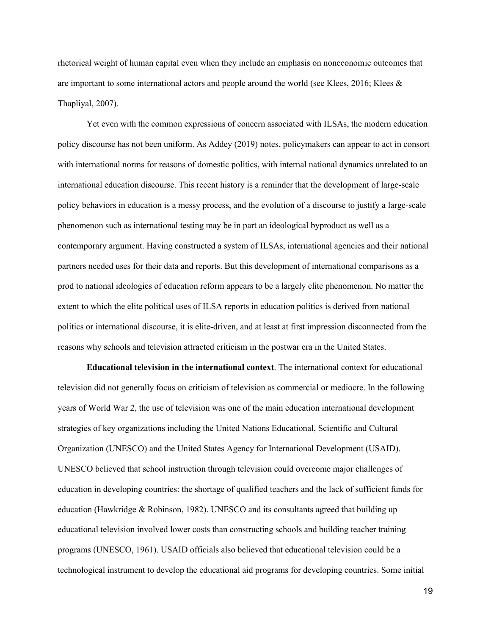rhetorical weight of human capital even when they include an emphasis on noneconomic outcomes that are important to some international actors and people around the world (see Klees, 2016; Klees & Thapliyal, 2007).

Yet even with the common expressions of concern associated with ILSAs, the modern education policy discourse has not been uniform. As Addey (2019) notes, policymakers can appear to act in consort with international norms for reasons of domestic politics, with internal national dynamics unrelated to an international education discourse. This recent history is a reminder that the development of large-scale policy behaviors in education is a messy process, and the evolution of a discourse to justify a large-scale phenomenon such as international testing may be in part an ideological byproduct as well as a contemporary argument. Having constructed a system of ILSAs, international agencies and their national partners needed uses for their data and reports. But this development of international comparisons as a prod to national ideologies of education reform appears to be a largely elite phenomenon. No matter the extent to which the elite political uses of ILSA reports in education politics is derived from national politics or international discourse, it is elite-driven, and at least at first impression disconnected from the reasons why schools and television attracted criticism in the postwar era in the United States.

**Educational television in the international context**. The international context for educational television did not generally focus on criticism of television as commercial or mediocre. In the following years of World War 2, the use of television was one of the main education international development strategies of key organizations including the United Nations Educational, Scientific and Cultural Organization (UNESCO) and the United States Agency for International Development (USAID). UNESCO believed that school instruction through television could overcome major challenges of education in developing countries: the shortage of qualified teachers and the lack of sufficient funds for education (Hawkridge & Robinson, 1982). UNESCO and its consultants agreed that building up educational television involved lower costs than constructing schools and building teacher training programs (UNESCO, 1961). USAID officials also believed that educational television could be a technological instrument to develop the educational aid programs for developing countries. Some initial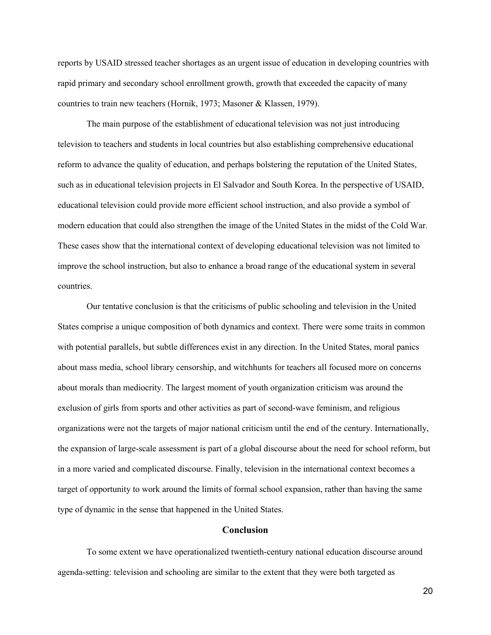reports by USAID stressed teacher shortages as an urgent issue of education in developing countries with rapid primary and secondary school enrollment growth, growth that exceeded the capacity of many countries to train new teachers (Hornik, 1973; Masoner & Klassen, 1979).

The main purpose of the establishment of educational television was not just introducing television to teachers and students in local countries but also establishing comprehensive educational reform to advance the quality of education, and perhaps bolstering the reputation of the United States, such as in educational television projects in El Salvador and South Korea. In the perspective of USAID, educational television could provide more efficient school instruction, and also provide a symbol of modern education that could also strengthen the image of the United States in the midst of the Cold War. These cases show that the international context of developing educational television was not limited to improve the school instruction, but also to enhance a broad range of the educational system in several countries.

Our tentative conclusion is that the criticisms of public schooling and television in the United States comprise a unique composition of both dynamics and context. There were some traits in common with potential parallels, but subtle differences exist in any direction. In the United States, moral panics about mass media, school library censorship, and witchhunts for teachers all focused more on concerns about morals than mediocrity. The largest moment of youth organization criticism was around the exclusion of girls from sports and other activities as part of second-wave feminism, and religious organizations were not the targets of major national criticism until the end of the century. Internationally, the expansion of large-scale assessment is part of a global discourse about the need for school reform, but in a more varied and complicated discourse. Finally, television in the international context becomes a target of opportunity to work around the limits of formal school expansion, rather than having the same type of dynamic in the sense that happened in the United States.

### **Conclusion**

To some extent we have operationalized twentieth-century national education discourse around agenda-setting: television and schooling are similar to the extent that they were both targeted as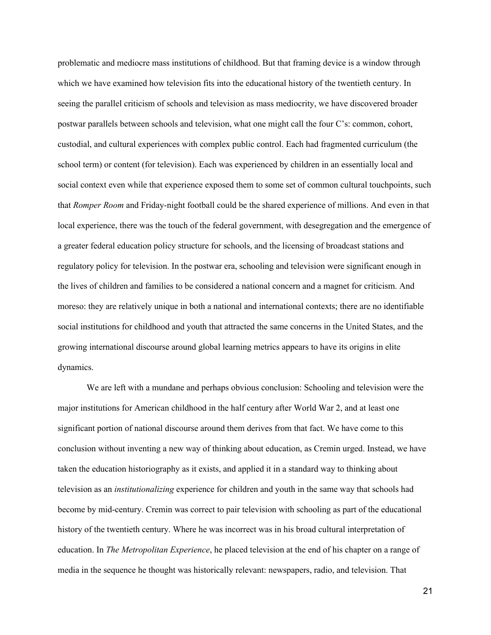problematic and mediocre mass institutions of childhood. But that framing device is a window through which we have examined how television fits into the educational history of the twentieth century. In seeing the parallel criticism of schools and television as mass mediocrity, we have discovered broader postwar parallels between schools and television, what one might call the four C's: common, cohort, custodial, and cultural experiences with complex public control. Each had fragmented curriculum (the school term) or content (for television). Each was experienced by children in an essentially local and social context even while that experience exposed them to some set of common cultural touchpoints, such that *Romper Room* and Friday-night football could be the shared experience of millions. And even in that local experience, there was the touch of the federal government, with desegregation and the emergence of a greater federal education policy structure for schools, and the licensing of broadcast stations and regulatory policy for television. In the postwar era, schooling and television were significant enough in the lives of children and families to be considered a national concern and a magnet for criticism. And moreso: they are relatively unique in both a national and international contexts; there are no identifiable social institutions for childhood and youth that attracted the same concerns in the United States, and the growing international discourse around global learning metrics appears to have its origins in elite dynamics.

We are left with a mundane and perhaps obvious conclusion: Schooling and television were the major institutions for American childhood in the half century after World War 2, and at least one significant portion of national discourse around them derives from that fact. We have come to this conclusion without inventing a new way of thinking about education, as Cremin urged. Instead, we have taken the education historiography as it exists, and applied it in a standard way to thinking about television as an *institutionalizing* experience for children and youth in the same way that schools had become by mid-century. Cremin was correct to pair television with schooling as part of the educational history of the twentieth century. Where he was incorrect was in his broad cultural interpretation of education. In *The Metropolitan Experience*, he placed television at the end of his chapter on a range of media in the sequence he thought was historically relevant: newspapers, radio, and television. That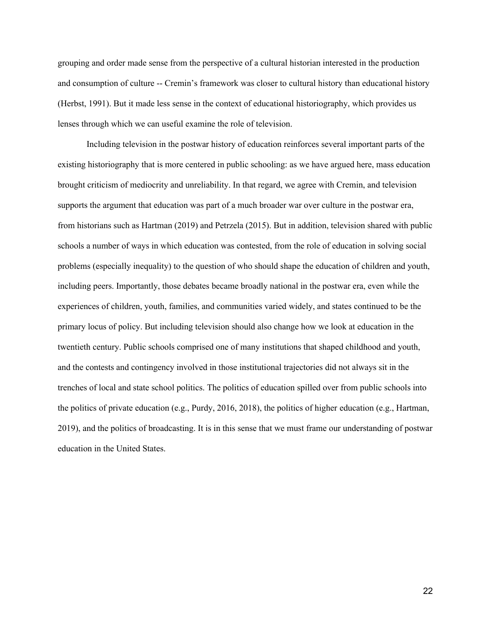grouping and order made sense from the perspective of a cultural historian interested in the production and consumption of culture -- Cremin's framework was closer to cultural history than educational history (Herbst, 1991). But it made less sense in the context of educational historiography, which provides us lenses through which we can useful examine the role of television.

Including television in the postwar history of education reinforces several important parts of the existing historiography that is more centered in public schooling: as we have argued here, mass education brought criticism of mediocrity and unreliability. In that regard, we agree with Cremin, and television supports the argument that education was part of a much broader war over culture in the postwar era, from historians such as Hartman (2019) and Petrzela (2015). But in addition, television shared with public schools a number of ways in which education was contested, from the role of education in solving social problems (especially inequality) to the question of who should shape the education of children and youth, including peers. Importantly, those debates became broadly national in the postwar era, even while the experiences of children, youth, families, and communities varied widely, and states continued to be the primary locus of policy. But including television should also change how we look at education in the twentieth century. Public schools comprised one of many institutions that shaped childhood and youth, and the contests and contingency involved in those institutional trajectories did not always sit in the trenches of local and state school politics. The politics of education spilled over from public schools into the politics of private education (e.g., Purdy, 2016, 2018), the politics of higher education (e.g., Hartman, 2019), and the politics of broadcasting. It is in this sense that we must frame our understanding of postwar education in the United States.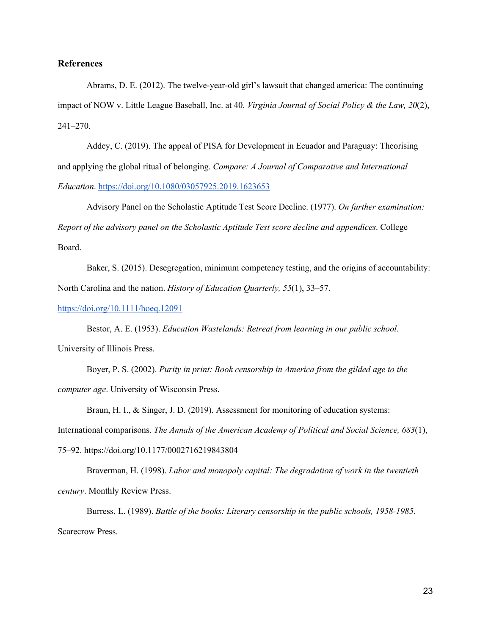# **References**

Abrams, D. E. (2012). The twelve-year-old girl's lawsuit that changed america: The continuing impact of NOW v. Little League Baseball, Inc. at 40. *Virginia Journal of Social Policy & the Law, 20*(2), 241–270.

Addey, C. (2019). The appeal of PISA for Development in Ecuador and Paraguay: Theorising and applying the global ritual of belonging. *Compare: A Journal of Comparative and International Education*. https://doi.org/10.1080/03057925.2019.1623653

Advisory Panel on the Scholastic Aptitude Test Score Decline. (1977). *On further examination: Report of the advisory panel on the Scholastic Aptitude Test score decline and appendices*. College Board.

Baker, S. (2015). Desegregation, minimum competency testing, and the origins of accountability: North Carolina and the nation. *History of Education Quarterly, 55*(1), 33–57.

https://doi.org/10.1111/hoeq.12091

Bestor, A. E. (1953). *Education Wastelands: Retreat from learning in our public school*. University of Illinois Press.

Boyer, P. S. (2002). *Purity in print: Book censorship in America from the gilded age to the computer age*. University of Wisconsin Press.

Braun, H. I., & Singer, J. D. (2019). Assessment for monitoring of education systems: International comparisons. *The Annals of the American Academy of Political and Social Science, 683*(1),

75–92. https://doi.org/10.1177/0002716219843804

Braverman, H. (1998). *Labor and monopoly capital: The degradation of work in the twentieth century*. Monthly Review Press.

Burress, L. (1989). *Battle of the books: Literary censorship in the public schools, 1958-1985*. Scarecrow Press.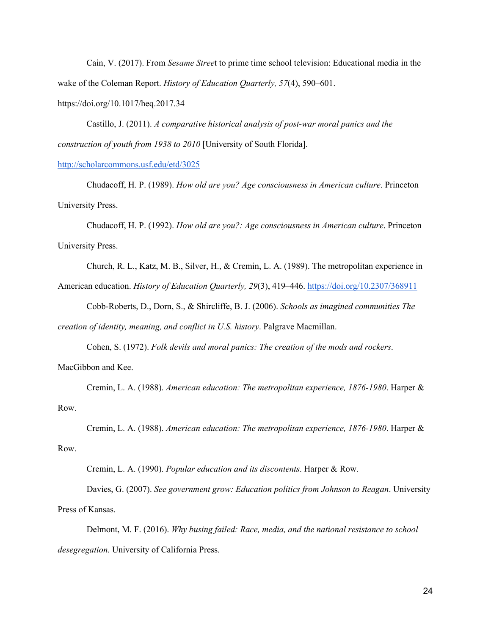Cain, V. (2017). From *Sesame Stree*t to prime time school television: Educational media in the wake of the Coleman Report. *History of Education Quarterly, 57*(4), 590–601.

https://doi.org/10.1017/heq.2017.34

Castillo, J. (2011). *A comparative historical analysis of post-war moral panics and the construction of youth from 1938 to 2010* [University of South Florida].

#### http://scholarcommons.usf.edu/etd/3025

Chudacoff, H. P. (1989). *How old are you? Age consciousness in American culture*. Princeton University Press.

Chudacoff, H. P. (1992). *How old are you?: Age consciousness in American culture*. Princeton University Press.

Church, R. L., Katz, M. B., Silver, H., & Cremin, L. A. (1989). The metropolitan experience in

American education. *History of Education Quarterly, 29*(3), 419–446. https://doi.org/10.2307/368911

Cobb-Roberts, D., Dorn, S., & Shircliffe, B. J. (2006). *Schools as imagined communities The creation of identity, meaning, and conflict in U.S. history*. Palgrave Macmillan.

Cohen, S. (1972). *Folk devils and moral panics: The creation of the mods and rockers*.

## MacGibbon and Kee.

Cremin, L. A. (1988). *American education: The metropolitan experience, 1876-1980*. Harper & Row.

Cremin, L. A. (1988). *American education: The metropolitan experience, 1876-1980*. Harper & Row.

Cremin, L. A. (1990). *Popular education and its discontents*. Harper & Row.

Davies, G. (2007). *See government grow: Education politics from Johnson to Reagan*. University Press of Kansas.

Delmont, M. F. (2016). *Why busing failed: Race, media, and the national resistance to school desegregation*. University of California Press.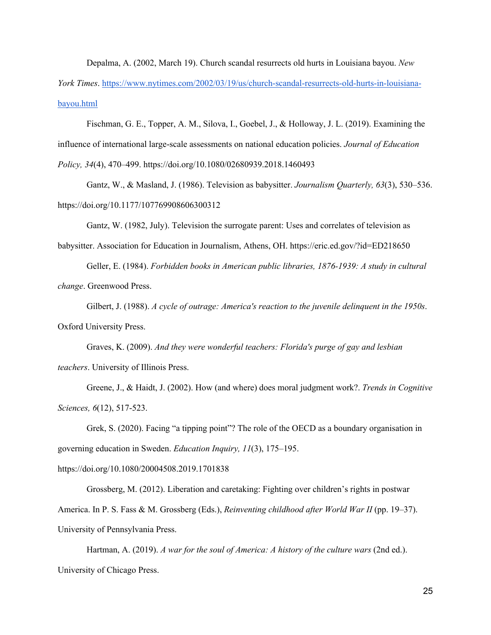Depalma, A. (2002, March 19). Church scandal resurrects old hurts in Louisiana bayou. *New York Times*. https://www.nytimes.com/2002/03/19/us/church-scandal-resurrects-old-hurts-in-louisiana-

bayou.html

Fischman, G. E., Topper, A. M., Silova, I., Goebel, J., & Holloway, J. L. (2019). Examining the influence of international large-scale assessments on national education policies. *Journal of Education Policy, 34*(4), 470–499. https://doi.org/10.1080/02680939.2018.1460493

Gantz, W., & Masland, J. (1986). Television as babysitter. *Journalism Quarterly, 63*(3), 530–536. https://doi.org/10.1177/107769908606300312

Gantz, W. (1982, July). Television the surrogate parent: Uses and correlates of television as

babysitter. Association for Education in Journalism, Athens, OH. https://eric.ed.gov/?id=ED218650

Geller, E. (1984). *Forbidden books in American public libraries, 1876-1939: A study in cultural change*. Greenwood Press.

Gilbert, J. (1988). *A cycle of outrage: America's reaction to the juvenile delinquent in the 1950s*. Oxford University Press.

Graves, K. (2009). *And they were wonderful teachers: Florida's purge of gay and lesbian teachers*. University of Illinois Press.

Greene, J., & Haidt, J. (2002). How (and where) does moral judgment work?. *Trends in Cognitive Sciences, 6*(12), 517-523.

Grek, S. (2020). Facing "a tipping point"? The role of the OECD as a boundary organisation in governing education in Sweden. *Education Inquiry, 11*(3), 175–195.

https://doi.org/10.1080/20004508.2019.1701838

Grossberg, M. (2012). Liberation and caretaking: Fighting over children's rights in postwar America. In P. S. Fass & M. Grossberg (Eds.), *Reinventing childhood after World War II* (pp. 19–37). University of Pennsylvania Press.

Hartman, A. (2019). *A war for the soul of America: A history of the culture wars* (2nd ed.). University of Chicago Press.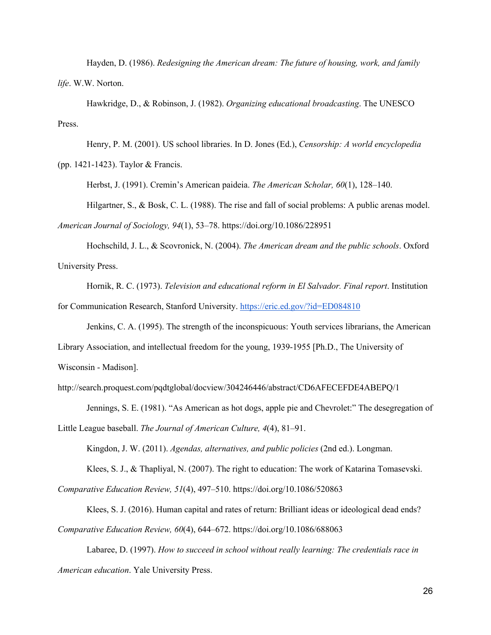Hayden, D. (1986). *Redesigning the American dream: The future of housing, work, and family life*. W.W. Norton.

Hawkridge, D., & Robinson, J. (1982). *Organizing educational broadcasting*. The UNESCO Press.

Henry, P. M. (2001). US school libraries. In D. Jones (Ed.), *Censorship: A world encyclopedia* (pp. 1421-1423). Taylor & Francis.

Herbst, J. (1991). Cremin's American paideia. *The American Scholar, 60*(1), 128–140.

Hilgartner, S., & Bosk, C. L. (1988). The rise and fall of social problems: A public arenas model. *American Journal of Sociology, 94*(1), 53–78. https://doi.org/10.1086/228951

Hochschild, J. L., & Scovronick, N. (2004). *The American dream and the public schools*. Oxford University Press.

Hornik, R. C. (1973). *Television and educational reform in El Salvador. Final report*. Institution for Communication Research, Stanford University. https://eric.ed.gov/?id=ED084810

Jenkins, C. A. (1995). The strength of the inconspicuous: Youth services librarians, the American Library Association, and intellectual freedom for the young, 1939-1955 [Ph.D., The University of Wisconsin - Madison].

http://search.proquest.com/pqdtglobal/docview/304246446/abstract/CD6AFECEFDE4ABEPQ/1

Jennings, S. E. (1981). "As American as hot dogs, apple pie and Chevrolet:" The desegregation of Little League baseball. *The Journal of American Culture, 4*(4), 81–91.

Kingdon, J. W. (2011). *Agendas, alternatives, and public policies* (2nd ed.). Longman. Klees, S. J., & Thapliyal, N. (2007). The right to education: The work of Katarina Tomasevski.

*Comparative Education Review, 51*(4), 497–510. https://doi.org/10.1086/520863

Klees, S. J. (2016). Human capital and rates of return: Brilliant ideas or ideological dead ends? *Comparative Education Review, 60*(4), 644–672. https://doi.org/10.1086/688063

Labaree, D. (1997). *How to succeed in school without really learning: The credentials race in American education*. Yale University Press.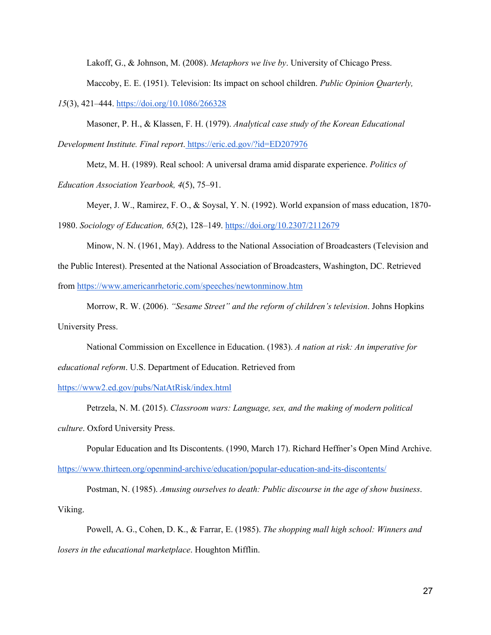Lakoff, G., & Johnson, M. (2008). *Metaphors we live by*. University of Chicago Press.

Maccoby, E. E. (1951). Television: Its impact on school children. *Public Opinion Quarterly,* 

*15*(3), 421–444. https://doi.org/10.1086/266328

Masoner, P. H., & Klassen, F. H. (1979). *Analytical case study of the Korean Educational Development Institute. Final report*. https://eric.ed.gov/?id=ED207976

Metz, M. H. (1989). Real school: A universal drama amid disparate experience. *Politics of Education Association Yearbook, 4*(5), 75–91.

Meyer, J. W., Ramirez, F. O., & Soysal, Y. N. (1992). World expansion of mass education, 1870- 1980. *Sociology of Education, 65*(2), 128–149. https://doi.org/10.2307/2112679

Minow, N. N. (1961, May). Address to the National Association of Broadcasters (Television and the Public Interest). Presented at the National Association of Broadcasters, Washington, DC. Retrieved from https://www.americanrhetoric.com/speeches/newtonminow.htm

Morrow, R. W. (2006). *"Sesame Street" and the reform of children's television*. Johns Hopkins University Press.

National Commission on Excellence in Education. (1983). *A nation at risk: An imperative for* 

*educational reform*. U.S. Department of Education. Retrieved from

https://www2.ed.gov/pubs/NatAtRisk/index.html

Petrzela, N. M. (2015). *Classroom wars: Language, sex, and the making of modern political culture*. Oxford University Press.

Popular Education and Its Discontents. (1990, March 17). Richard Heffner's Open Mind Archive. https://www.thirteen.org/openmind-archive/education/popular-education-and-its-discontents/

Postman, N. (1985). *Amusing ourselves to death: Public discourse in the age of show business*. Viking.

Powell, A. G., Cohen, D. K., & Farrar, E. (1985). *The shopping mall high school: Winners and losers in the educational marketplace*. Houghton Mifflin.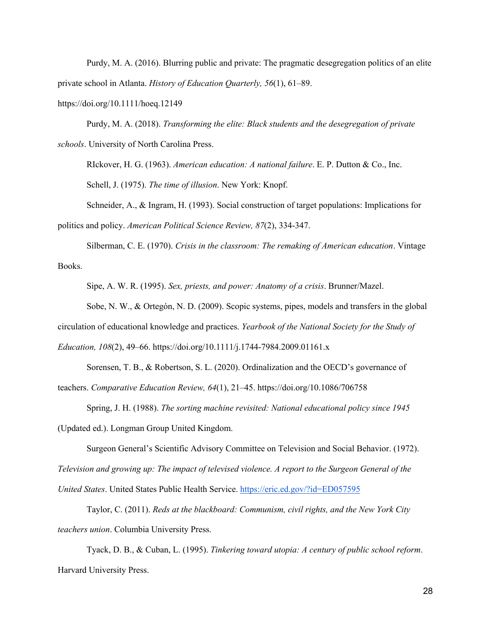Purdy, M. A. (2016). Blurring public and private: The pragmatic desegregation politics of an elite private school in Atlanta. *History of Education Quarterly, 56*(1), 61–89.

https://doi.org/10.1111/hoeq.12149

Purdy, M. A. (2018). *Transforming the elite: Black students and the desegregation of private schools*. University of North Carolina Press.

RIckover, H. G. (1963). *American education: A national failure*. E. P. Dutton & Co., Inc. Schell, J. (1975). *The time of illusion*. New York: Knopf.

Schneider, A., & Ingram, H. (1993). Social construction of target populations: Implications for politics and policy. *American Political Science Review, 87*(2), 334-347.

Silberman, C. E. (1970). *Crisis in the classroom: The remaking of American education*. Vintage Books.

Sipe, A. W. R. (1995). *Sex, priests, and power: Anatomy of a crisis*. Brunner/Mazel.

Sobe, N. W., & Ortegón, N. D. (2009). Scopic systems, pipes, models and transfers in the global circulation of educational knowledge and practices. *Yearbook of the National Society for the Study of Education, 108*(2), 49–66. https://doi.org/10.1111/j.1744-7984.2009.01161.x

Sorensen, T. B., & Robertson, S. L. (2020). Ordinalization and the OECD's governance of teachers. *Comparative Education Review, 64*(1), 21–45. https://doi.org/10.1086/706758

Spring, J. H. (1988). *The sorting machine revisited: National educational policy since 1945* (Updated ed.). Longman Group United Kingdom.

Surgeon General's Scientific Advisory Committee on Television and Social Behavior. (1972). *Television and growing up: The impact of televised violence. A report to the Surgeon General of the United States*. United States Public Health Service. https://eric.ed.gov/?id=ED057595

Taylor, C. (2011). *Reds at the blackboard: Communism, civil rights, and the New York City teachers union*. Columbia University Press.

Tyack, D. B., & Cuban, L. (1995). *Tinkering toward utopia: A century of public school reform*. Harvard University Press.